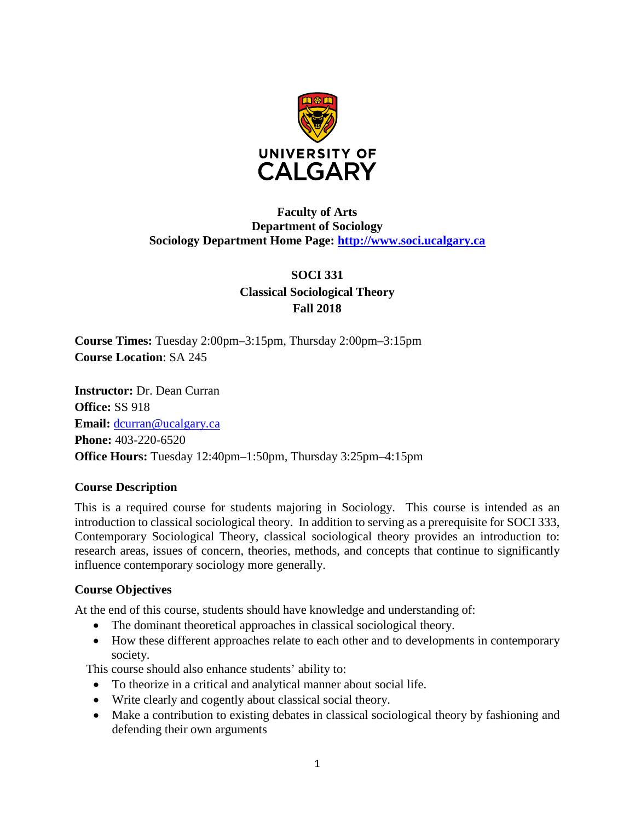

### **Faculty of Arts Department of Sociology Sociology Department Home Page: [http://www.soci.ucalgary.ca](http://www.soci.ucalgary.ca/)**

### **SOCI 331 Classical Sociological Theory Fall 2018**

**Course Times:** Tuesday 2:00pm–3:15pm, Thursday 2:00pm–3:15pm **Course Location**: SA 245

**Instructor:** Dr. Dean Curran **Office:** SS 918 **Email:** [dcurran@ucalgary.ca](mailto:dcurran@ucalgary.ca) **Phone:** 403-220-6520 **Office Hours:** Tuesday 12:40pm–1:50pm, Thursday 3:25pm–4:15pm

### **Course Description**

This is a required course for students majoring in Sociology. This course is intended as an introduction to classical sociological theory. In addition to serving as a prerequisite for SOCI 333, Contemporary Sociological Theory, classical sociological theory provides an introduction to: research areas, issues of concern, theories, methods, and concepts that continue to significantly influence contemporary sociology more generally.

### **Course Objectives**

At the end of this course, students should have knowledge and understanding of:

- The dominant theoretical approaches in classical sociological theory.
- How these different approaches relate to each other and to developments in contemporary society.

This course should also enhance students' ability to:

- To theorize in a critical and analytical manner about social life.
- Write clearly and cogently about classical social theory.
- Make a contribution to existing debates in classical sociological theory by fashioning and defending their own arguments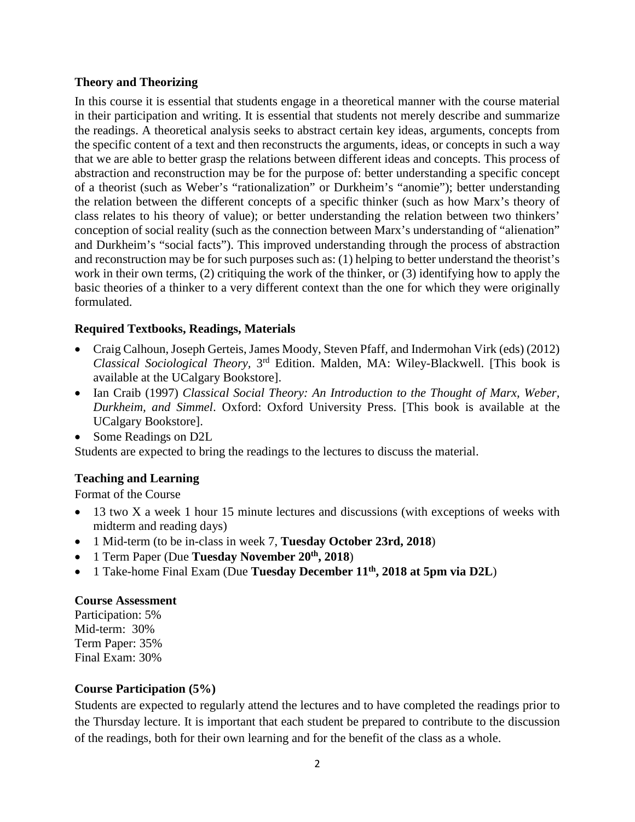### **Theory and Theorizing**

In this course it is essential that students engage in a theoretical manner with the course material in their participation and writing. It is essential that students not merely describe and summarize the readings. A theoretical analysis seeks to abstract certain key ideas, arguments, concepts from the specific content of a text and then reconstructs the arguments, ideas, or concepts in such a way that we are able to better grasp the relations between different ideas and concepts. This process of abstraction and reconstruction may be for the purpose of: better understanding a specific concept of a theorist (such as Weber's "rationalization" or Durkheim's "anomie"); better understanding the relation between the different concepts of a specific thinker (such as how Marx's theory of class relates to his theory of value); or better understanding the relation between two thinkers' conception of social reality (such as the connection between Marx's understanding of "alienation" and Durkheim's "social facts"). This improved understanding through the process of abstraction and reconstruction may be for such purposes such as: (1) helping to better understand the theorist's work in their own terms, (2) critiquing the work of the thinker, or (3) identifying how to apply the basic theories of a thinker to a very different context than the one for which they were originally formulated.

### **Required Textbooks, Readings, Materials**

- Craig Calhoun, Joseph Gerteis, James Moody, Steven Pfaff, and Indermohan Virk (eds) (2012) *Classical Sociological Theory,* 3rd Edition. Malden, MA: Wiley-Blackwell. [This book is available at the UCalgary Bookstore].
- Ian Craib (1997) *Classical Social Theory: An Introduction to the Thought of Marx, Weber, Durkheim, and Simmel*. Oxford: Oxford University Press. [This book is available at the UCalgary Bookstore].
- Some Readings on D2L

Students are expected to bring the readings to the lectures to discuss the material.

### **Teaching and Learning**

Format of the Course

- 13 two X a week 1 hour 15 minute lectures and discussions (with exceptions of weeks with midterm and reading days)
- 1 Mid-term (to be in-class in week 7, **Tuesday October 23rd, 2018**)
- 1 Term Paper (Due **Tuesday November 20th, 2018**)
- 1 Take-home Final Exam (Due **Tuesday December 11<sup>th</sup>, 2018 at 5pm via D2L**)

### **Course Assessment**

Participation: 5% Mid-term: 30% Term Paper: 35% Final Exam: 30%

### **Course Participation (5%)**

Students are expected to regularly attend the lectures and to have completed the readings prior to the Thursday lecture. It is important that each student be prepared to contribute to the discussion of the readings, both for their own learning and for the benefit of the class as a whole.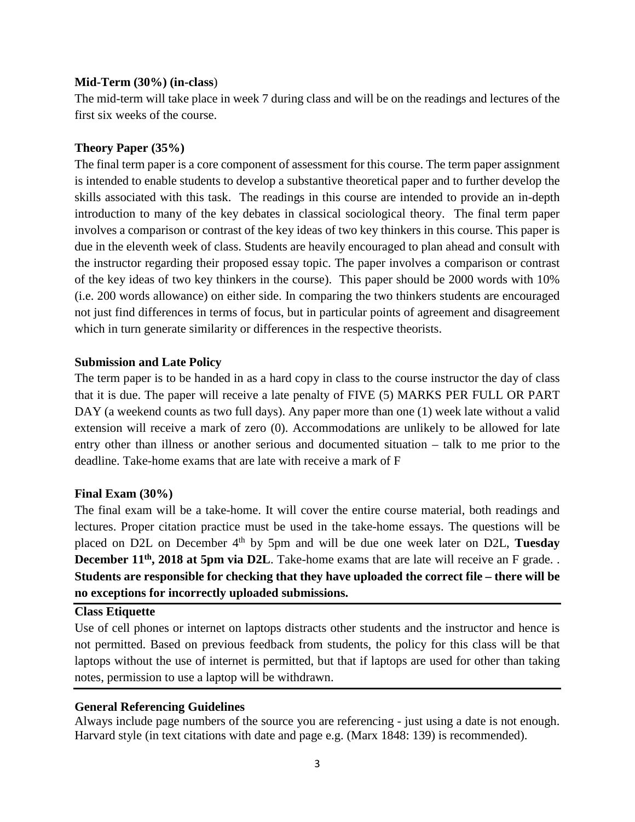#### **Mid-Term (30%) (in-class**)

The mid-term will take place in week 7 during class and will be on the readings and lectures of the first six weeks of the course.

### **Theory Paper (35%)**

The final term paper is a core component of assessment for this course. The term paper assignment is intended to enable students to develop a substantive theoretical paper and to further develop the skills associated with this task. The readings in this course are intended to provide an in-depth introduction to many of the key debates in classical sociological theory. The final term paper involves a comparison or contrast of the key ideas of two key thinkers in this course. This paper is due in the eleventh week of class. Students are heavily encouraged to plan ahead and consult with the instructor regarding their proposed essay topic. The paper involves a comparison or contrast of the key ideas of two key thinkers in the course). This paper should be 2000 words with 10% (i.e. 200 words allowance) on either side. In comparing the two thinkers students are encouraged not just find differences in terms of focus, but in particular points of agreement and disagreement which in turn generate similarity or differences in the respective theorists.

#### **Submission and Late Policy**

The term paper is to be handed in as a hard copy in class to the course instructor the day of class that it is due. The paper will receive a late penalty of FIVE (5) MARKS PER FULL OR PART DAY (a weekend counts as two full days). Any paper more than one (1) week late without a valid extension will receive a mark of zero (0). Accommodations are unlikely to be allowed for late entry other than illness or another serious and documented situation – talk to me prior to the deadline. Take-home exams that are late with receive a mark of F

### **Final Exam (30%)**

The final exam will be a take-home. It will cover the entire course material, both readings and lectures. Proper citation practice must be used in the take-home essays. The questions will be placed on D2L on December 4th by 5pm and will be due one week later on D2L, **Tuesday December 11<sup>th</sup>, 2018 at 5pm via D2L**. Take-home exams that are late will receive an F grade. . **Students are responsible for checking that they have uploaded the correct file – there will be no exceptions for incorrectly uploaded submissions.**

#### **Class Etiquette**

Use of cell phones or internet on laptops distracts other students and the instructor and hence is not permitted. Based on previous feedback from students, the policy for this class will be that laptops without the use of internet is permitted, but that if laptops are used for other than taking notes, permission to use a laptop will be withdrawn.

### **General Referencing Guidelines**

Always include page numbers of the source you are referencing - just using a date is not enough. Harvard style (in text citations with date and page e.g. (Marx 1848: 139) is recommended).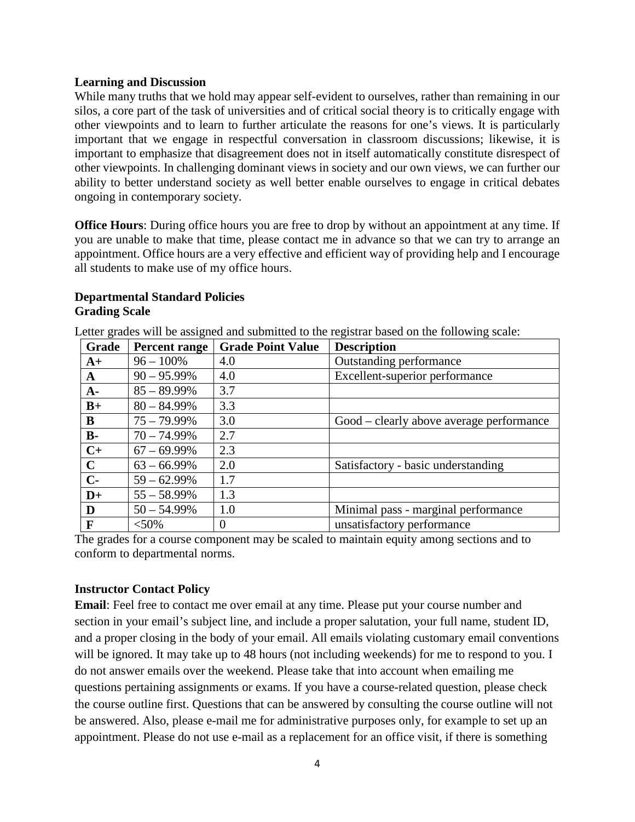#### **Learning and Discussion**

While many truths that we hold may appear self-evident to ourselves, rather than remaining in our silos, a core part of the task of universities and of critical social theory is to critically engage with other viewpoints and to learn to further articulate the reasons for one's views. It is particularly important that we engage in respectful conversation in classroom discussions; likewise, it is important to emphasize that disagreement does not in itself automatically constitute disrespect of other viewpoints. In challenging dominant views in society and our own views, we can further our ability to better understand society as well better enable ourselves to engage in critical debates ongoing in contemporary society.

**Office Hours**: During office hours you are free to drop by without an appointment at any time. If you are unable to make that time, please contact me in advance so that we can try to arrange an appointment. Office hours are a very effective and efficient way of providing help and I encourage all students to make use of my office hours.

### **Departmental Standard Policies Grading Scale**

Letter grades will be assigned and submitted to the registrar based on the following scale:

| Grade       | <b>Percent range</b> | <b>Grade Point Value</b> | <b>Description</b>                       |
|-------------|----------------------|--------------------------|------------------------------------------|
| $A+$        | $96 - 100\%$         | 4.0                      | Outstanding performance                  |
| $\mathbf A$ | $90 - 95.99\%$       | 4.0                      | Excellent-superior performance           |
| $A-$        | $85 - 89.99\%$       | 3.7                      |                                          |
| $B+$        | $80 - 84.99\%$       | 3.3                      |                                          |
| B           | $75 - 79.99\%$       | 3.0                      | Good – clearly above average performance |
| $B -$       | $70 - 74.99\%$       | 2.7                      |                                          |
| $C+$        | $67 - 69.99\%$       | 2.3                      |                                          |
| $\mathbf C$ | $63 - 66.99\%$       | 2.0                      | Satisfactory - basic understanding       |
| $C-$        | $59 - 62.99\%$       | 1.7                      |                                          |
| $D+$        | $55 - 58.99\%$       | 1.3                      |                                          |
| D           | $50 - 54.99\%$       | 1.0                      | Minimal pass - marginal performance      |
| $\mathbf F$ | $<$ 50%              | $\overline{0}$           | unsatisfactory performance               |

The grades for a course component may be scaled to maintain equity among sections and to conform to departmental norms.

### **Instructor Contact Policy**

**Email**: Feel free to contact me over email at any time. Please put your course number and section in your email's subject line, and include a proper salutation, your full name, student ID, and a proper closing in the body of your email. All emails violating customary email conventions will be ignored. It may take up to 48 hours (not including weekends) for me to respond to you. I do not answer emails over the weekend. Please take that into account when emailing me questions pertaining assignments or exams. If you have a course-related question, please check the course outline first. Questions that can be answered by consulting the course outline will not be answered. Also, please e-mail me for administrative purposes only, for example to set up an appointment. Please do not use e-mail as a replacement for an office visit, if there is something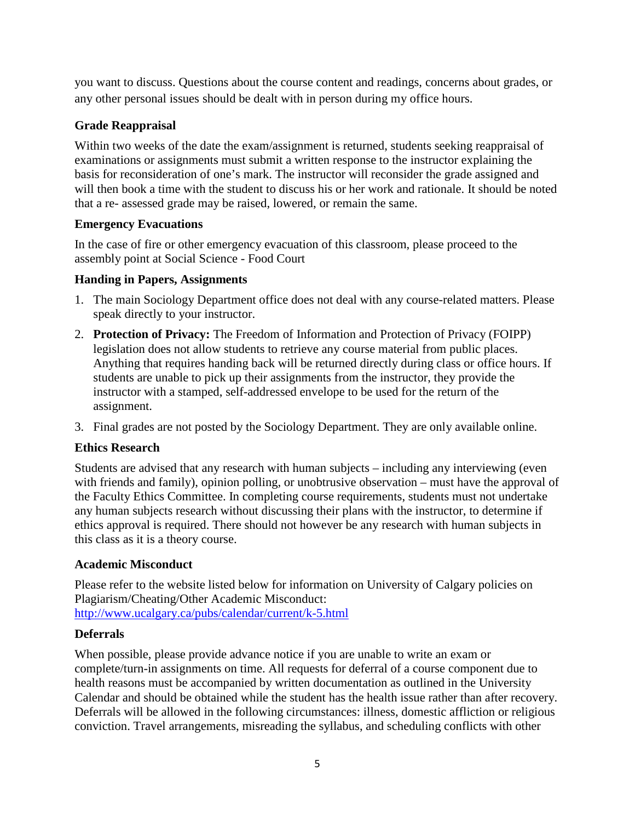you want to discuss. Questions about the course content and readings, concerns about grades, or any other personal issues should be dealt with in person during my office hours.

### **Grade Reappraisal**

Within two weeks of the date the exam/assignment is returned, students seeking reappraisal of examinations or assignments must submit a written response to the instructor explaining the basis for reconsideration of one's mark. The instructor will reconsider the grade assigned and will then book a time with the student to discuss his or her work and rationale. It should be noted that a re- assessed grade may be raised, lowered, or remain the same.

### **Emergency Evacuations**

In the case of fire or other emergency evacuation of this classroom, please proceed to the assembly point at Social Science - Food Court

### **Handing in Papers, Assignments**

- 1. The main Sociology Department office does not deal with any course-related matters. Please speak directly to your instructor.
- 2. **Protection of Privacy:** The Freedom of Information and Protection of Privacy (FOIPP) legislation does not allow students to retrieve any course material from public places. Anything that requires handing back will be returned directly during class or office hours. If students are unable to pick up their assignments from the instructor, they provide the instructor with a stamped, self-addressed envelope to be used for the return of the assignment.
- 3. Final grades are not posted by the Sociology Department. They are only available online.

### **Ethics Research**

Students are advised that any research with human subjects – including any interviewing (even with friends and family), opinion polling, or unobtrusive observation – must have the approval of the Faculty Ethics Committee. In completing course requirements, students must not undertake any human subjects research without discussing their plans with the instructor, to determine if ethics approval is required. There should not however be any research with human subjects in this class as it is a theory course.

### **Academic Misconduct**

Please refer to the website listed below for information on University of Calgary policies on Plagiarism/Cheating/Other Academic Misconduct: <http://www.ucalgary.ca/pubs/calendar/current/k-5.html>

### **Deferrals**

When possible, please provide advance notice if you are unable to write an exam or complete/turn-in assignments on time. All requests for deferral of a course component due to health reasons must be accompanied by written documentation as outlined in the University Calendar and should be obtained while the student has the health issue rather than after recovery. Deferrals will be allowed in the following circumstances: illness, domestic affliction or religious conviction. Travel arrangements, misreading the syllabus, and scheduling conflicts with other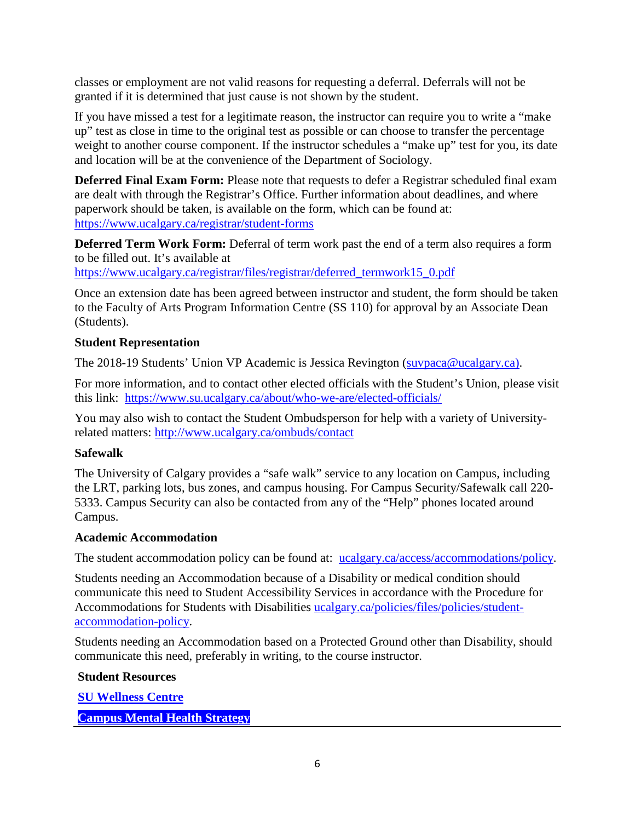classes or employment are not valid reasons for requesting a deferral. Deferrals will not be granted if it is determined that just cause is not shown by the student.

If you have missed a test for a legitimate reason, the instructor can require you to write a "make up" test as close in time to the original test as possible or can choose to transfer the percentage weight to another course component. If the instructor schedules a "make up" test for you, its date and location will be at the convenience of the Department of Sociology.

**Deferred Final Exam Form:** Please note that requests to defer a Registrar scheduled final exam are dealt with through the Registrar's Office. Further information about deadlines, and where paperwork should be taken, is available on the form, which can be found at: <https://www.ucalgary.ca/registrar/student-forms>

**Deferred Term Work Form:** Deferral of term work past the end of a term also requires a form to be filled out. It's available at

[https://www.ucalgary.ca/registrar/files/registrar/deferred\\_termwork15\\_0.pdf](https://www.ucalgary.ca/registrar/files/registrar/deferred_termwork15_0.pdf) 

Once an extension date has been agreed between instructor and student, the form should be taken to the Faculty of Arts Program Information Centre (SS 110) for approval by an Associate Dean (Students).

### **Student Representation**

The 2018-19 Students' Union VP Academic is Jessica Revington [\(suvpaca@ucalgary.ca\)](mailto:suvpaca@ucalgary.ca).

For more information, and to contact other elected officials with the Student's Union, please visit this link: <https://www.su.ucalgary.ca/about/who-we-are/elected-officials/>

You may also wish to contact the Student Ombudsperson for help with a variety of Universityrelated matters:<http://www.ucalgary.ca/ombuds/contact>

### **Safewalk**

The University of Calgary provides a "safe walk" service to any location on Campus, including the LRT, parking lots, bus zones, and campus housing. For Campus Security/Safewalk call 220- 5333. Campus Security can also be contacted from any of the "Help" phones located around Campus.

### **Academic Accommodation**

The student accommodation policy can be found at: <u>ucalgary.ca/access/accommodations/policy</u>.

Students needing an Accommodation because of a Disability or medical condition should communicate this need to Student Accessibility Services in accordance with the Procedure for Accommodations for Students with Disabilities [ucalgary.ca/policies/files/policies/student](http://www.ucalgary.ca/policies/files/policies/student-accommodation-policy.pdf)[accommodation-policy.](http://www.ucalgary.ca/policies/files/policies/student-accommodation-policy.pdf)

Students needing an Accommodation based on a Protected Ground other than Disability, should communicate this need, preferably in writing, to the course instructor.

### **Student Resources**

**[SU Wellness Centre](http://www.ucalgary.ca/wellnesscentre/)**

**[Campus Mental Health Strategy](https://www.ucalgary.ca/mentalhealth/)**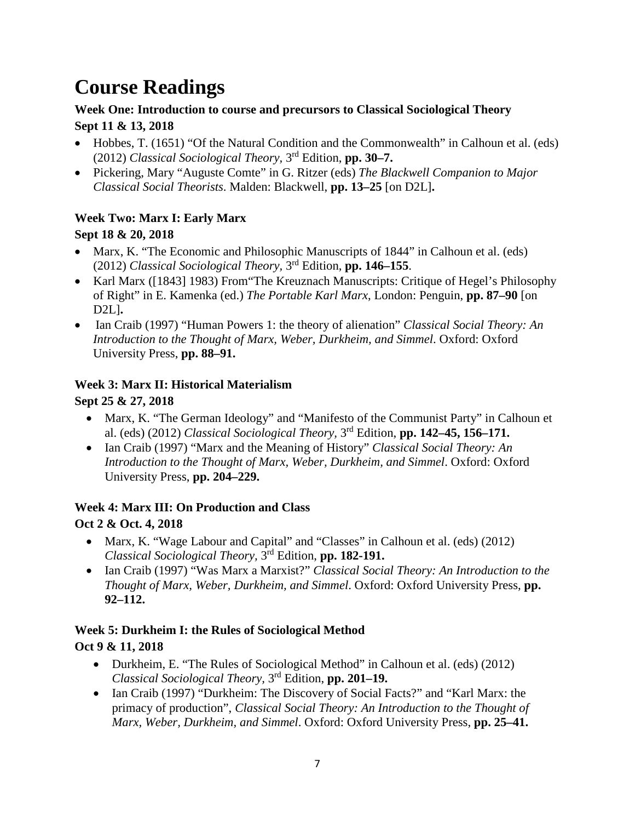# **Course Readings**

### **Week One: Introduction to course and precursors to Classical Sociological Theory Sept 11 & 13, 2018**

- Hobbes, T. (1651) "Of the Natural Condition and the Commonwealth" in Calhoun et al. (eds) (2012) *Classical Sociological Theory,* 3rd Edition, **pp. 30–7.**
- Pickering, Mary "Auguste Comte" in G. Ritzer (eds) *The Blackwell Companion to Major Classical Social Theorists*. Malden: Blackwell, **pp. 13–25** [on D2L]**.**

### **Week Two: Marx I: Early Marx**

### **Sept 18 & 20, 2018**

- Marx, K. "The Economic and Philosophic Manuscripts of 1844" in Calhoun et al. (eds) (2012) *Classical Sociological Theory,* 3rd Edition, **pp. 146–155**.
- Karl Marx ([1843] 1983) From The Kreuznach Manuscripts: Critique of Hegel's Philosophy of Right" in E. Kamenka (ed.) *The Portable Karl Marx*, London: Penguin, **pp. 87–90** [on D2L]**.**
- Ian Craib (1997) "Human Powers 1: the theory of alienation" *Classical Social Theory: An Introduction to the Thought of Marx, Weber, Durkheim, and Simmel*. Oxford: Oxford University Press, **pp. 88–91.**

### **Week 3: Marx II: Historical Materialism**

### **Sept 25 & 27, 2018**

- Marx, K. "The German Ideology" and "Manifesto of the Communist Party" in Calhoun et al. (eds) (2012) *Classical Sociological Theory,* 3rd Edition, **pp. 142–45, 156–171.**
- Ian Craib (1997) "Marx and the Meaning of History" *Classical Social Theory: An Introduction to the Thought of Marx, Weber, Durkheim, and Simmel*. Oxford: Oxford University Press, **pp. 204–229.**

### **Week 4: Marx III: On Production and Class**

## **Oct 2 & Oct. 4, 2018**

- Marx, K. "Wage Labour and Capital" and "Classes" in Calhoun et al. (eds) (2012) *Classical Sociological Theory,* 3rd Edition, **pp. 182-191.**
- Ian Craib (1997) "Was Marx a Marxist?" *Classical Social Theory: An Introduction to the Thought of Marx, Weber, Durkheim, and Simmel*. Oxford: Oxford University Press, **pp. 92–112.**

# **Week 5: Durkheim I: the Rules of Sociological Method**

## **Oct 9 & 11, 2018**

- Durkheim, E. "The Rules of Sociological Method" in Calhoun et al. (eds) (2012) *Classical Sociological Theory,* 3rd Edition, **pp. 201–19.**
- Ian Craib (1997) "Durkheim: The Discovery of Social Facts?" and "Karl Marx: the primacy of production", *Classical Social Theory: An Introduction to the Thought of Marx, Weber, Durkheim, and Simmel*. Oxford: Oxford University Press, **pp. 25–41.**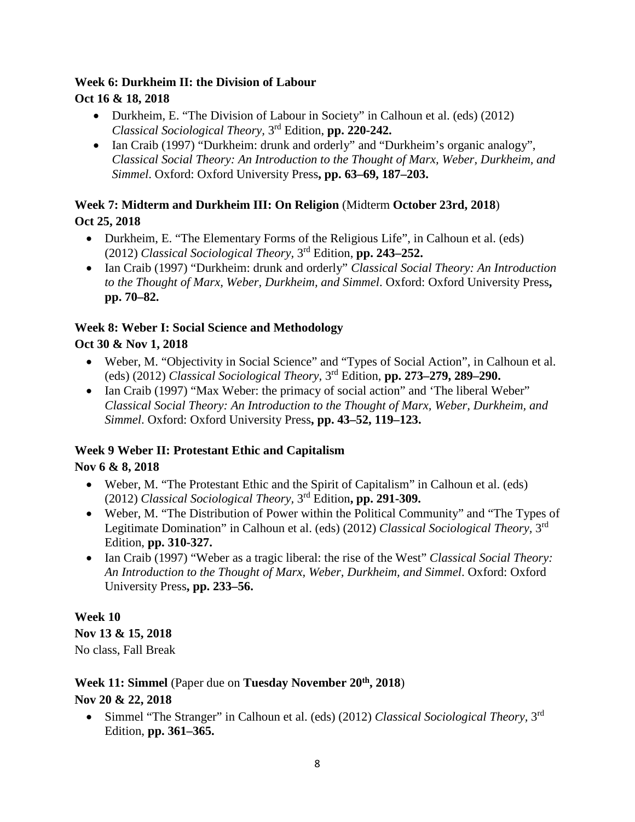### **Week 6: Durkheim II: the Division of Labour**

### **Oct 16 & 18, 2018**

- Durkheim, E. "The Division of Labour in Society" in Calhoun et al. (eds) (2012) *Classical Sociological Theory,* 3rd Edition, **pp. 220-242.**
- Ian Craib (1997) "Durkheim: drunk and orderly" and "Durkheim's organic analogy". *Classical Social Theory: An Introduction to the Thought of Marx, Weber, Durkheim, and Simmel*. Oxford: Oxford University Press**, pp. 63–69, 187–203.**

### **Week 7: Midterm and Durkheim III: On Religion** (Midterm **October 23rd, 2018**) **Oct 25, 2018**

- Durkheim, E. "The Elementary Forms of the Religious Life", in Calhoun et al. (eds) (2012) *Classical Sociological Theory,* 3rd Edition, **pp. 243–252.**
- Ian Craib (1997) "Durkheim: drunk and orderly" *Classical Social Theory: An Introduction to the Thought of Marx, Weber, Durkheim, and Simmel*. Oxford: Oxford University Press**, pp. 70–82.**

### **Week 8: Weber I: Social Science and Methodology**

### **Oct 30 & Nov 1, 2018**

- Weber, M. "Objectivity in Social Science" and "Types of Social Action", in Calhoun et al. (eds) (2012) *Classical Sociological Theory,* 3rd Edition, **pp. 273–279, 289–290.**
- Ian Craib (1997) "Max Weber: the primacy of social action" and 'The liberal Weber" *Classical Social Theory: An Introduction to the Thought of Marx, Weber, Durkheim, and Simmel*. Oxford: Oxford University Press**, pp. 43–52, 119–123.**

### **Week 9 Weber II: Protestant Ethic and Capitalism**

### **Nov 6 & 8, 2018**

- Weber, M. "The Protestant Ethic and the Spirit of Capitalism" in Calhoun et al. (eds) (2012) *Classical Sociological Theory,* 3rd Edition**, pp. 291-309.**
- Weber, M. "The Distribution of Power within the Political Community" and "The Types of Legitimate Domination" in Calhoun et al. (eds) (2012) *Classical Sociological Theory,* 3rd Edition, **pp. 310-327.**
- Ian Craib (1997) "Weber as a tragic liberal: the rise of the West" *Classical Social Theory: An Introduction to the Thought of Marx, Weber, Durkheim, and Simmel*. Oxford: Oxford University Press**, pp. 233–56.**

### **Week 10**

**Nov 13 & 15, 2018** No class, Fall Break

# **Week 11: Simmel** (Paper due on **Tuesday November 20th, 2018**)

### **Nov 20 & 22, 2018**

• Simmel "The Stranger" in Calhoun et al. (eds) (2012) *Classical Sociological Theory,* 3rd Edition, **pp. 361–365.**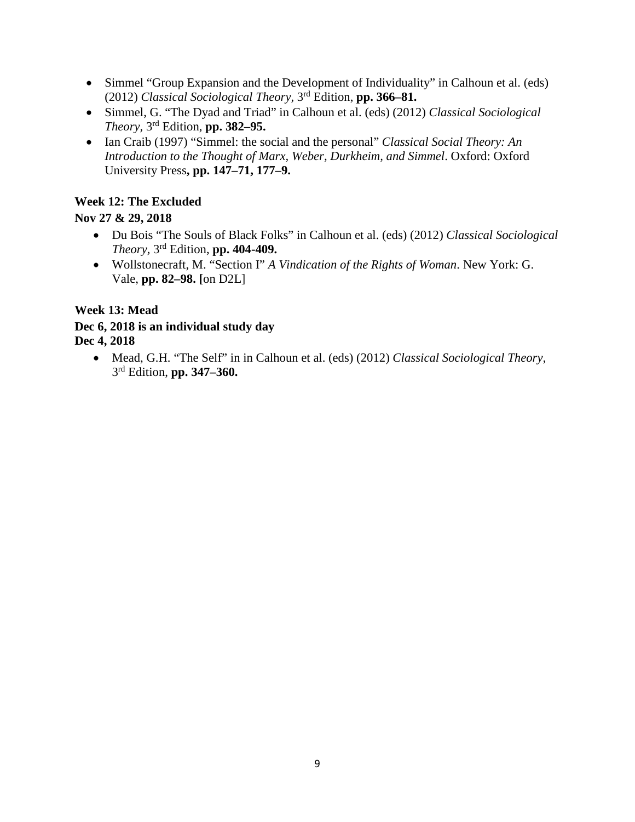- Simmel "Group Expansion and the Development of Individuality" in Calhoun et al. (eds) (2012) *Classical Sociological Theory,* 3rd Edition, **pp. 366–81.**
- Simmel, G. "The Dyad and Triad" in Calhoun et al. (eds) (2012) *Classical Sociological Theory,* 3rd Edition, **pp. 382–95.**
- Ian Craib (1997) "Simmel: the social and the personal" *Classical Social Theory: An Introduction to the Thought of Marx, Weber, Durkheim, and Simmel*. Oxford: Oxford University Press**, pp. 147–71, 177–9.**

### **Week 12: The Excluded**

### **Nov 27 & 29, 2018**

- Du Bois "The Souls of Black Folks" in Calhoun et al. (eds) (2012) *Classical Sociological Theory,* 3rd Edition, **pp. 404-409.**
- Wollstonecraft, M. "Section I" *A Vindication of the Rights of Woman*. New York: G. Vale, **pp. 82–98. [**on D2L]

### **Week 13: Mead**

### **Dec 6, 2018 is an individual study day Dec 4, 2018**

• Mead, G.H. "The Self" in in Calhoun et al. (eds) (2012) *Classical Sociological Theory,*  3rd Edition, **pp. 347–360.**